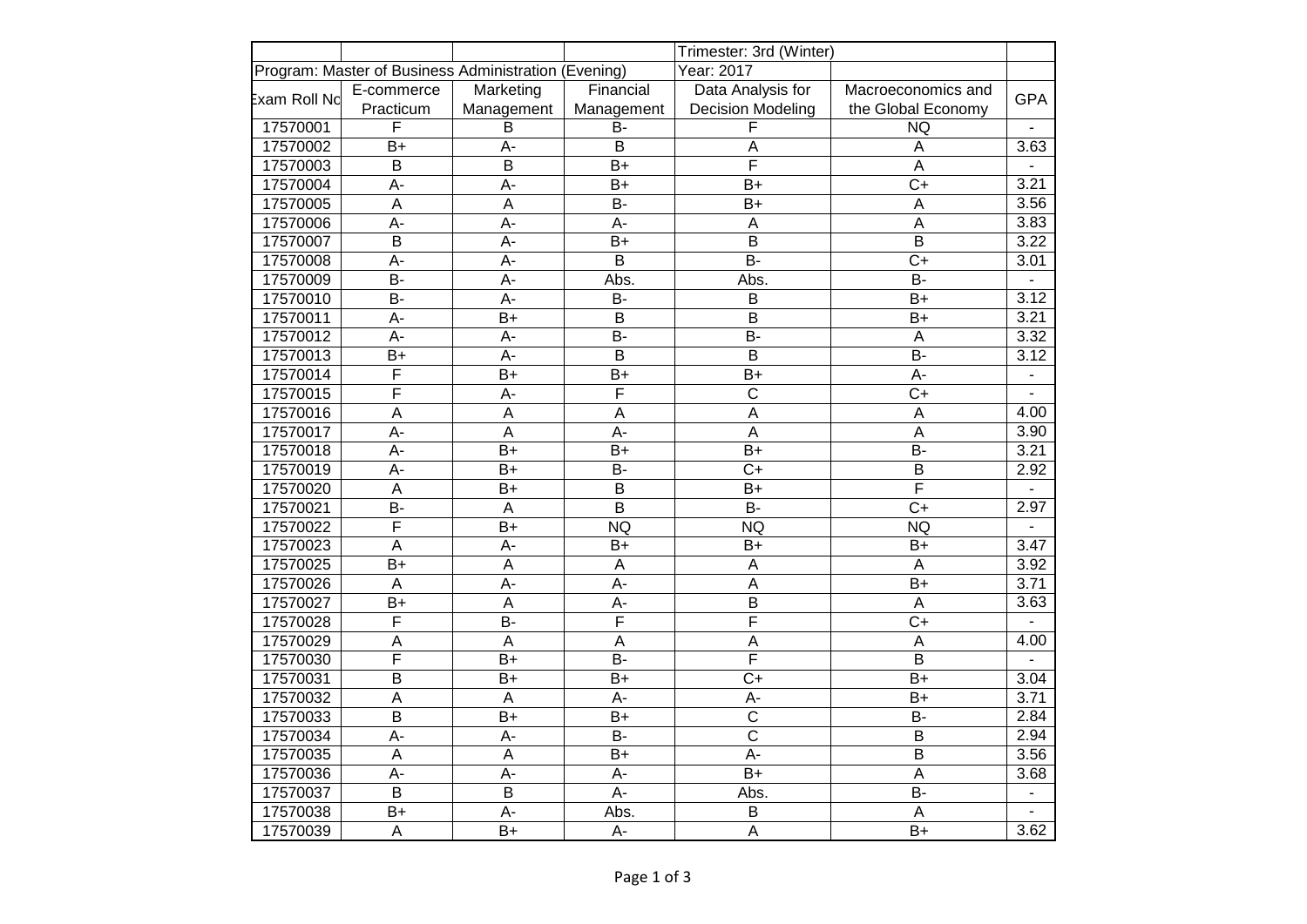|              |                         |                                                      |                  | Trimester: 3rd (Winter)   |                           |                |
|--------------|-------------------------|------------------------------------------------------|------------------|---------------------------|---------------------------|----------------|
|              |                         | Program: Master of Business Administration (Evening) |                  | Year: 2017                |                           |                |
| Exam Roll Nd | E-commerce              | Marketing                                            | Financial        | Data Analysis for         | Macroeconomics and        | <b>GPA</b>     |
|              | Practicum               | Management                                           | Management       | <b>Decision Modeling</b>  | the Global Economy        |                |
| 17570001     | F                       | B                                                    | B-               | F                         | <b>NQ</b>                 | $\blacksquare$ |
| 17570002     | $B+$                    | $A -$                                                | B                | $\overline{\mathsf{A}}$   | A                         | 3.63           |
| 17570003     | $\overline{B}$          | $\overline{B}$                                       | $B+$             | $\overline{\mathsf{F}}$   | $\overline{A}$            | $\overline{a}$ |
| 17570004     | A-                      | A-                                                   | $B+$             | $B+$                      | $C+$                      | 3.21           |
| 17570005     | $\overline{A}$          | $\overline{A}$                                       | <b>B-</b>        | $B+$                      | A                         | 3.56           |
| 17570006     | $\overline{A}$ -        | $A -$                                                | $A -$            | $\overline{A}$            | $\overline{A}$            | 3.83           |
| 17570007     | $\overline{B}$          | A-                                                   | $B+$             | $\overline{B}$            | $\overline{B}$            | 3.22           |
| 17570008     | A-                      | $A -$                                                | B                | <b>B-</b>                 | $C+$                      | 3.01           |
| 17570009     | $B -$                   | $A -$                                                | Abs.             | Abs.                      | $B -$                     |                |
| 17570010     | $B -$                   | $\overline{A}$ -                                     | $B -$            | $\overline{B}$            | $\overline{B+}$           | 3.12           |
| 17570011     | $\overline{A}$ -        | $B+$                                                 | $\overline{B}$   | $\overline{B}$            | $B+$                      | 3.21           |
| 17570012     | $A -$                   | A-                                                   | B-               | <b>B-</b>                 | $\overline{A}$            | 3.32           |
| 17570013     | $B+$                    | A-                                                   | B                | B                         | <b>B-</b>                 | 3.12           |
| 17570014     | $\overline{F}$          | $B+$                                                 | $B+$             | $B+$                      | A-                        | $\blacksquare$ |
| 17570015     | $\overline{\mathsf{F}}$ | A-                                                   | F                | $\overline{\mathrm{c}}$   | $\overline{C+}$           |                |
| 17570016     | A                       | $\overline{A}$                                       | $\overline{A}$   | $\overline{\mathsf{A}}$   | $\boldsymbol{\mathsf{A}}$ | 4.00           |
| 17570017     | A-                      | $\sf A$                                              | $A -$            | $\boldsymbol{\mathsf{A}}$ | $\overline{\mathsf{A}}$   | 3.90           |
| 17570018     | А-                      | $B+$                                                 | $B+$             | B+                        | $B -$                     | 3.21           |
| 17570019     | A-                      | $B+$                                                 | <b>B-</b>        | $C+$                      | B                         | 2.92           |
| 17570020     | $\overline{A}$          | $B+$                                                 | $\overline{B}$   | $B+$                      | $\overline{\sf F}$        |                |
| 17570021     | $\overline{B}$          | $\overline{A}$                                       | $\overline{B}$   | $\overline{B}$            | $\overline{C+}$           | 2.97           |
| 17570022     | $\overline{F}$          | $B+$                                                 | <b>NQ</b>        | <b>NQ</b>                 | <b>NQ</b>                 |                |
| 17570023     | A                       | A-                                                   | $B+$             | $B+$                      | $B+$                      | 3.47           |
| 17570025     | $\overline{B+}$         | $\overline{A}$                                       | $\overline{A}$   | $\boldsymbol{\mathsf{A}}$ | $\boldsymbol{\mathsf{A}}$ | 3.92           |
| 17570026     | $\overline{A}$          | A-                                                   | $\overline{A}$   | $\overline{A}$            | $B+$                      | 3.71           |
| 17570027     | $B+$                    | $\boldsymbol{\mathsf{A}}$                            | A-               | $\mathsf B$               | A                         | 3.63           |
| 17570028     | F                       | $B -$                                                | $\overline{F}$   | $\overline{F}$            | $C+$                      |                |
| 17570029     | A                       | $\boldsymbol{\mathsf{A}}$                            | $\overline{A}$   | $\overline{A}$            | $\boldsymbol{\mathsf{A}}$ | 4.00           |
| 17570030     | $\overline{\mathsf{F}}$ | $B+$                                                 | <b>B-</b>        | $\overline{\mathsf{F}}$   | $\overline{B}$            |                |
| 17570031     | $\overline{B}$          | $B+$                                                 | $B+$             | $C+$                      | $B+$                      | 3.04           |
| 17570032     | A                       | $\boldsymbol{\mathsf{A}}$                            | A-               | A-                        | $B+$                      | 3.71           |
| 17570033     | $\overline{B}$          | $B+$                                                 | $B+$             | $\overline{C}$            | <b>B-</b>                 | 2.84           |
| 17570034     | $A -$                   | A-                                                   | $B -$            | $\overline{\mathrm{c}}$   | B                         | 2.94           |
| 17570035     | $\overline{A}$          | $\overline{A}$                                       | $B+$             | $A -$                     | B                         | 3.56           |
| 17570036     | $\overline{A}$          | $\overline{A}$                                       | A-               | $\overline{B+}$           | $\boldsymbol{\mathsf{A}}$ | 3.68           |
| 17570037     | $\overline{B}$          | $\overline{B}$                                       | $\overline{A}$ - | Abs.                      | $B -$                     | $\blacksquare$ |
| 17570038     | B+                      | A-                                                   | Abs.             | $\sf B$                   | $\mathsf A$               |                |
| 17570039     | A                       | $B+$                                                 | A-               | $\overline{A}$            | $B+$                      | 3.62           |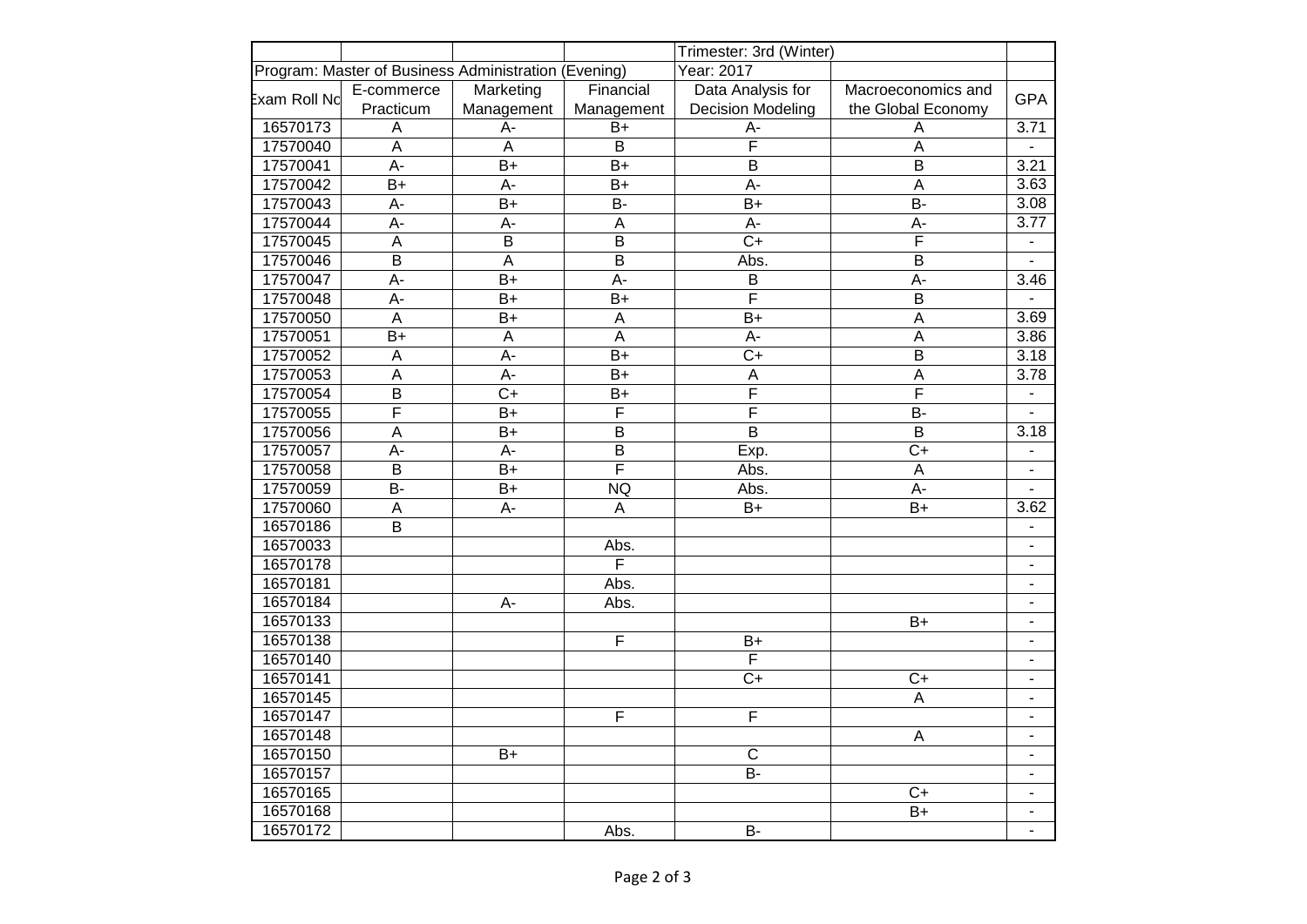|                      |                                                      |                           |                           | Trimester: 3rd (Winter)  |                         |                          |
|----------------------|------------------------------------------------------|---------------------------|---------------------------|--------------------------|-------------------------|--------------------------|
|                      | Program: Master of Business Administration (Evening) |                           |                           | Year: 2017               |                         |                          |
| <b>E</b> xam Roll Nd | E-commerce                                           | Marketing                 | Financial                 | Data Analysis for        | Macroeconomics and      | <b>GPA</b>               |
|                      | Practicum                                            | Management                | Management                | <b>Decision Modeling</b> | the Global Economy      |                          |
| 16570173             | A                                                    | A-                        | $B+$                      | A-                       | A                       | 3.71                     |
| 17570040             | $\overline{A}$                                       | $\overline{A}$            | $\sf B$                   | $\overline{\mathsf{F}}$  | A                       |                          |
| 17570041             | $A -$                                                | $B+$                      | $B+$                      | $\overline{B}$           | $\overline{B}$          | 3.21                     |
| 17570042             | $B+$                                                 | A-                        | $B+$                      | A-                       | A                       | 3.63                     |
| 17570043             | A-                                                   | $B+$                      | B-                        | $B+$                     | <b>B-</b>               | 3.08                     |
| 17570044             | $A -$                                                | $A -$                     | $\mathsf A$               | A-                       | $A -$                   | 3.77                     |
| 17570045             | $\overline{A}$                                       | $\overline{B}$            | $\overline{B}$            | $\overline{C+}$          | $\overline{\mathsf{F}}$ |                          |
| 17570046             | $\overline{B}$                                       | $\boldsymbol{\mathsf{A}}$ | $\mathsf B$               | Abs.                     | B                       | L.                       |
| 17570047             | A-                                                   | $B+$                      | A-                        | B                        | $A -$                   | 3.46                     |
| 17570048             | A-                                                   | $B+$                      | $B+$                      | $\overline{\mathsf{F}}$  | B                       | $\blacksquare$           |
| 17570050             | $\overline{A}$                                       | $B+$                      | $\boldsymbol{\mathsf{A}}$ | $B+$                     | A                       | 3.69                     |
| 17570051             | $B+$                                                 | $\overline{A}$            | $\overline{A}$            | A-                       | $\overline{A}$          | 3.86                     |
| 17570052             | $\mathsf A$                                          | A-                        | $B+$                      | $C+$                     | B                       | 3.18                     |
| 17570053             | $\mathsf A$                                          | A-                        | $B+$                      | A                        | A                       | 3.78                     |
| 17570054             | $\overline{B}$                                       | $\overline{C+}$           | $B+$                      | $\overline{\mathsf{F}}$  | F                       | $\frac{1}{2}$            |
| 17570055             | $\overline{\mathsf{F}}$                              | $B+$                      | $\overline{\mathsf{F}}$   | $\overline{\mathsf{F}}$  | <b>B-</b>               |                          |
| 17570056             | $\overline{A}$                                       | $\overline{B+}$           | $\overline{B}$            | $\overline{\mathsf{B}}$  | $\overline{B}$          | 3.18                     |
| 17570057             | A-                                                   | A-                        | B                         | Exp.                     | $C+$                    | $\overline{\phantom{a}}$ |
| 17570058             | $\mathsf B$                                          | $B+$                      | $\overline{\mathsf{F}}$   | Abs.                     | A                       | $\overline{\phantom{a}}$ |
| 17570059             | $\overline{B}$                                       | $B+$                      | <b>NQ</b>                 | Abs.                     | $A -$                   |                          |
| 17570060             | $\overline{A}$                                       | $A -$                     | A                         | $B+$                     | $B+$                    | 3.62                     |
| 16570186             | $\sf B$                                              |                           |                           |                          |                         | $\blacksquare$           |
| 16570033             |                                                      |                           | Abs.                      |                          |                         | $\overline{\phantom{a}}$ |
| 16570178             |                                                      |                           | $\overline{\mathsf{F}}$   |                          |                         | $\overline{\phantom{a}}$ |
| 16570181             |                                                      |                           | Abs.                      |                          |                         | $\blacksquare$           |
| 16570184             |                                                      | A-                        | Abs.                      |                          |                         | $\blacksquare$           |
| 16570133             |                                                      |                           |                           |                          | $B+$                    | -                        |
| 16570138             |                                                      |                           | $\overline{\mathsf{F}}$   | $B+$                     |                         | $\overline{\phantom{a}}$ |
| 16570140             |                                                      |                           |                           | $\overline{F}$           |                         |                          |
| 16570141             |                                                      |                           |                           | $C+$                     | $C+$                    | $\overline{\phantom{a}}$ |
| 16570145             |                                                      |                           |                           |                          | A                       | $\blacksquare$           |
| 16570147             |                                                      |                           | F                         | $\overline{F}$           |                         | $\overline{\phantom{a}}$ |
| 16570148             |                                                      |                           |                           |                          | A                       | $\blacksquare$           |
| 16570150             |                                                      | $B+$                      |                           | $\overline{C}$           |                         | $\blacksquare$           |
| 16570157             |                                                      |                           |                           | $\overline{B}$           |                         | $\overline{\phantom{a}}$ |
| 16570165             |                                                      |                           |                           |                          | $C+$                    | $\overline{a}$           |
| 16570168             |                                                      |                           |                           |                          | $B+$                    | $\overline{a}$           |
| 16570172             |                                                      |                           | Abs.                      | <b>B-</b>                |                         |                          |